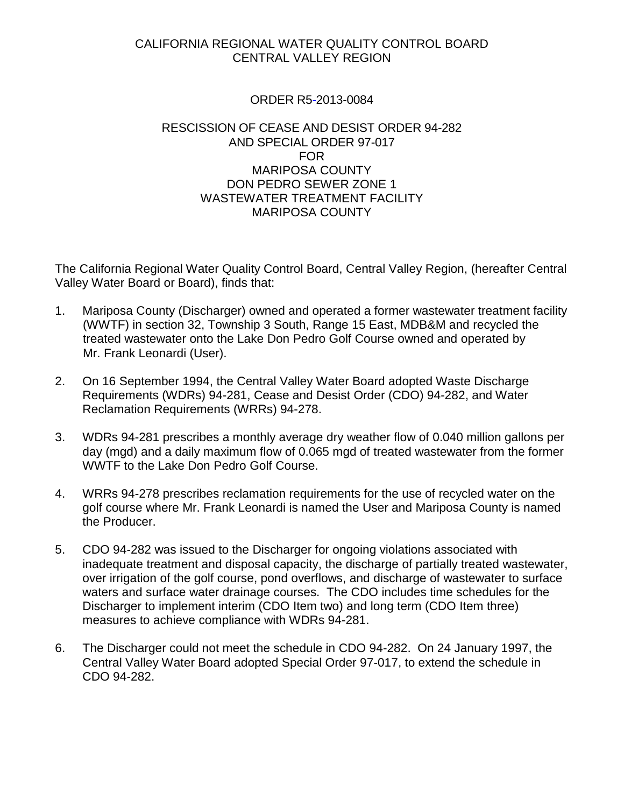## CALIFORNIA REGIONAL WATER QUALITY CONTROL BOARD CENTRAL VALLEY REGION

## ORDER R5-2013-0084

## RESCISSION OF CEASE AND DESIST ORDER 94-282 AND SPECIAL ORDER 97-017 FOR MARIPOSA COUNTY DON PEDRO SEWER ZONE 1 WASTEWATER TREATMENT FACILITY MARIPOSA COUNTY

The California Regional Water Quality Control Board, Central Valley Region, (hereafter Central Valley Water Board or Board), finds that:

- 1. Mariposa County (Discharger) owned and operated a former wastewater treatment facility (WWTF) in section 32, Township 3 South, Range 15 East, MDB&M and recycled the treated wastewater onto the Lake Don Pedro Golf Course owned and operated by Mr. Frank Leonardi (User).
- 2. On 16 September 1994, the Central Valley Water Board adopted Waste Discharge Requirements (WDRs) 94-281, Cease and Desist Order (CDO) 94-282, and Water Reclamation Requirements (WRRs) 94-278.
- 3. WDRs 94-281 prescribes a monthly average dry weather flow of 0.040 million gallons per day (mgd) and a daily maximum flow of 0.065 mgd of treated wastewater from the former WWTF to the Lake Don Pedro Golf Course.
- 4. WRRs 94-278 prescribes reclamation requirements for the use of recycled water on the golf course where Mr. Frank Leonardi is named the User and Mariposa County is named the Producer.
- 5. CDO 94-282 was issued to the Discharger for ongoing violations associated with inadequate treatment and disposal capacity, the discharge of partially treated wastewater, over irrigation of the golf course, pond overflows, and discharge of wastewater to surface waters and surface water drainage courses. The CDO includes time schedules for the Discharger to implement interim (CDO Item two) and long term (CDO Item three) measures to achieve compliance with WDRs 94-281.
- 6. The Discharger could not meet the schedule in CDO 94-282. On 24 January 1997, the Central Valley Water Board adopted Special Order 97-017, to extend the schedule in CDO 94-282.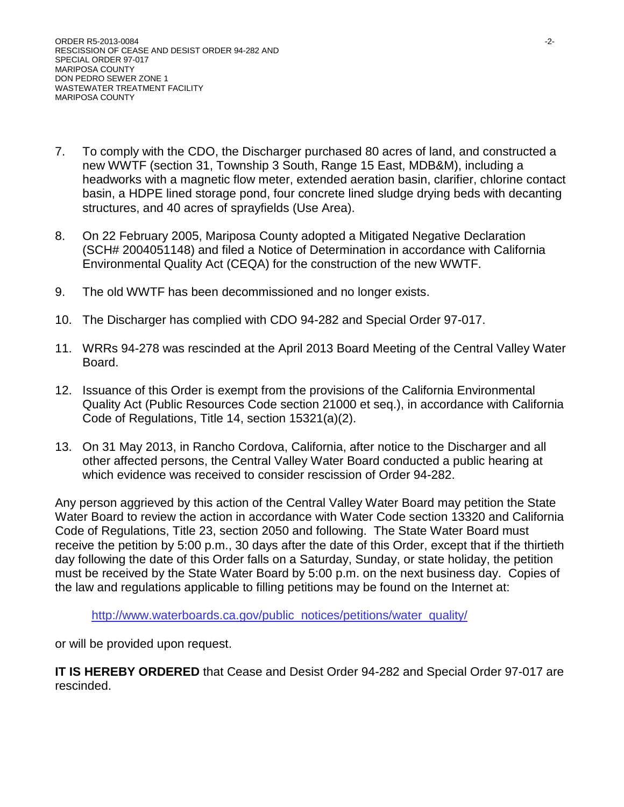- 7. To comply with the CDO, the Discharger purchased 80 acres of land, and constructed a new WWTF (section 31, Township 3 South, Range 15 East, MDB&M), including a headworks with a magnetic flow meter, extended aeration basin, clarifier, chlorine contact basin, a HDPE lined storage pond, four concrete lined sludge drying beds with decanting structures, and 40 acres of sprayfields (Use Area).
- 8. On 22 February 2005, Mariposa County adopted a Mitigated Negative Declaration (SCH# 2004051148) and filed a Notice of Determination in accordance with California Environmental Quality Act (CEQA) for the construction of the new WWTF.
- 9. The old WWTF has been decommissioned and no longer exists.
- 10. The Discharger has complied with CDO 94-282 and Special Order 97-017.
- 11. WRRs 94-278 was rescinded at the April 2013 Board Meeting of the Central Valley Water Board.
- 12. Issuance of this Order is exempt from the provisions of the California Environmental Quality Act (Public Resources Code section 21000 et seq.), in accordance with California Code of Regulations, Title 14, section 15321(a)(2).
- 13. On 31 May 2013, in Rancho Cordova, California, after notice to the Discharger and all other affected persons, the Central Valley Water Board conducted a public hearing at which evidence was received to consider rescission of Order 94-282.

Any person aggrieved by this action of the Central Valley Water Board may petition the State Water Board to review the action in accordance with Water Code section 13320 and California Code of Regulations, Title 23, section 2050 and following. The State Water Board must receive the petition by 5:00 p.m., 30 days after the date of this Order, except that if the thirtieth day following the date of this Order falls on a Saturday, Sunday, or state holiday, the petition must be received by the State Water Board by 5:00 p.m. on the next business day. Copies of the law and regulations applicable to filling petitions may be found on the Internet at:

[http://www.waterboards.ca.gov/public\\_notices/petitions/water\\_quality/](http://www.waterboards.ca.gov/public_notices/petitions/water_quality/)

or will be provided upon request.

**IT IS HEREBY ORDERED** that Cease and Desist Order 94-282 and Special Order 97-017 are rescinded.